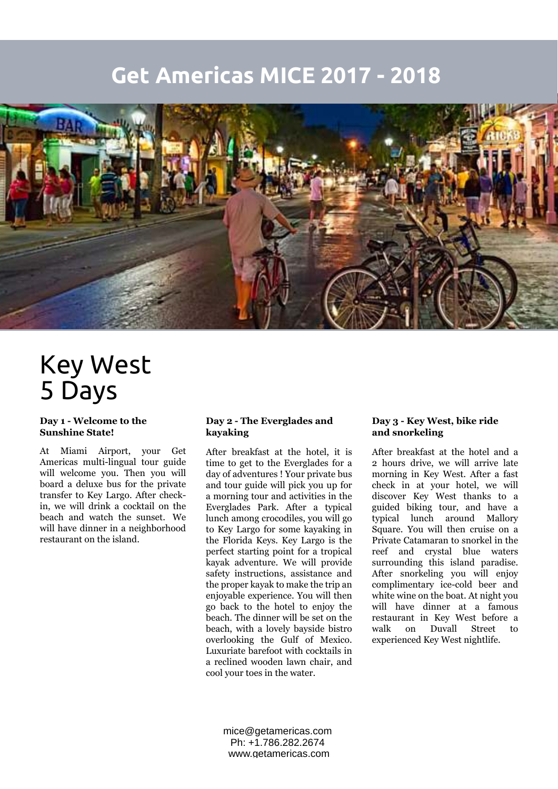## **Get Americas MICE 2017 - 2018**



# Key West 5 Days

#### **Day 1 - Welcome to the Sunshine State!**

At Miami Airport, your Get Americas multi-lingual tour guide will welcome you. Then you will board a deluxe bus for the private transfer to Key Largo. After checkin, we will drink a cocktail on the beach and watch the sunset. We will have dinner in a neighborhood restaurant on the island.

#### **Day 2 - The Everglades and kayaking**

After breakfast at the hotel, it is time to get to the Everglades for a day of adventures ! Your private bus and tour guide will pick you up for a morning tour and activities in the Everglades Park. After a typical lunch among crocodiles, you will go to Key Largo for some kayaking in the Florida Keys. Key Largo is the perfect starting point for a tropical kayak adventure. We will provide safety instructions, assistance and the proper kayak to make the trip an enjoyable experience. You will then go back to the hotel to enjoy the beach. The dinner will be set on the beach, with a lovely bayside bistro overlooking the Gulf of Mexico. Luxuriate barefoot with cocktails in a reclined wooden lawn chair, and cool your toes in the water.

#### **Day 3 - Key West, bike ride and snorkeling**

After breakfast at the hotel and a 2 hours drive, we will arrive late morning in Key West. After a fast check in at your hotel, we will discover Key West thanks to a guided biking tour, and have a typical lunch around Mallory Square. You will then cruise on a Private Catamaran to snorkel in the reef and crystal blue waters surrounding this island paradise. After snorkeling you will enjoy complimentary ice-cold beer and white wine on the boat. At night you will have dinner at a famous restaurant in Key West before a walk on Duvall Street to experienced Key West nightlife.

mice@getamericas.com Ph: +1.786.282.2674 www.getamericas.com